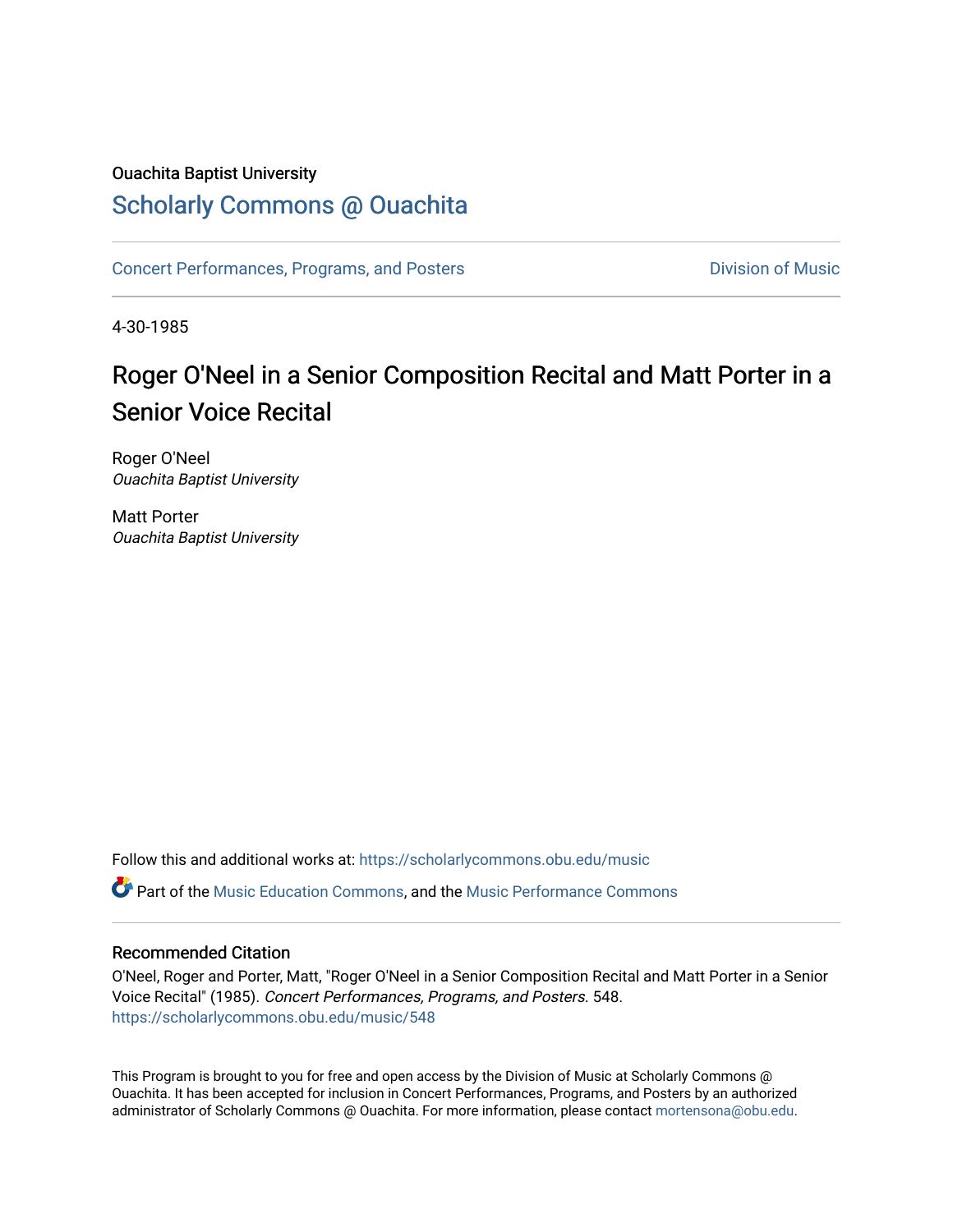#### Ouachita Baptist University

### [Scholarly Commons @ Ouachita](https://scholarlycommons.obu.edu/)

[Concert Performances, Programs, and Posters](https://scholarlycommons.obu.edu/music) **Division of Music** Division of Music

4-30-1985

## Roger O'Neel in a Senior Composition Recital and Matt Porter in a Senior Voice Recital

Roger O'Neel Ouachita Baptist University

Matt Porter Ouachita Baptist University

Follow this and additional works at: [https://scholarlycommons.obu.edu/music](https://scholarlycommons.obu.edu/music?utm_source=scholarlycommons.obu.edu%2Fmusic%2F548&utm_medium=PDF&utm_campaign=PDFCoverPages) 

**C** Part of the [Music Education Commons,](http://network.bepress.com/hgg/discipline/1246?utm_source=scholarlycommons.obu.edu%2Fmusic%2F548&utm_medium=PDF&utm_campaign=PDFCoverPages) and the Music Performance Commons

#### Recommended Citation

O'Neel, Roger and Porter, Matt, "Roger O'Neel in a Senior Composition Recital and Matt Porter in a Senior Voice Recital" (1985). Concert Performances, Programs, and Posters. 548. [https://scholarlycommons.obu.edu/music/548](https://scholarlycommons.obu.edu/music/548?utm_source=scholarlycommons.obu.edu%2Fmusic%2F548&utm_medium=PDF&utm_campaign=PDFCoverPages) 

This Program is brought to you for free and open access by the Division of Music at Scholarly Commons @ Ouachita. It has been accepted for inclusion in Concert Performances, Programs, and Posters by an authorized administrator of Scholarly Commons @ Ouachita. For more information, please contact [mortensona@obu.edu](mailto:mortensona@obu.edu).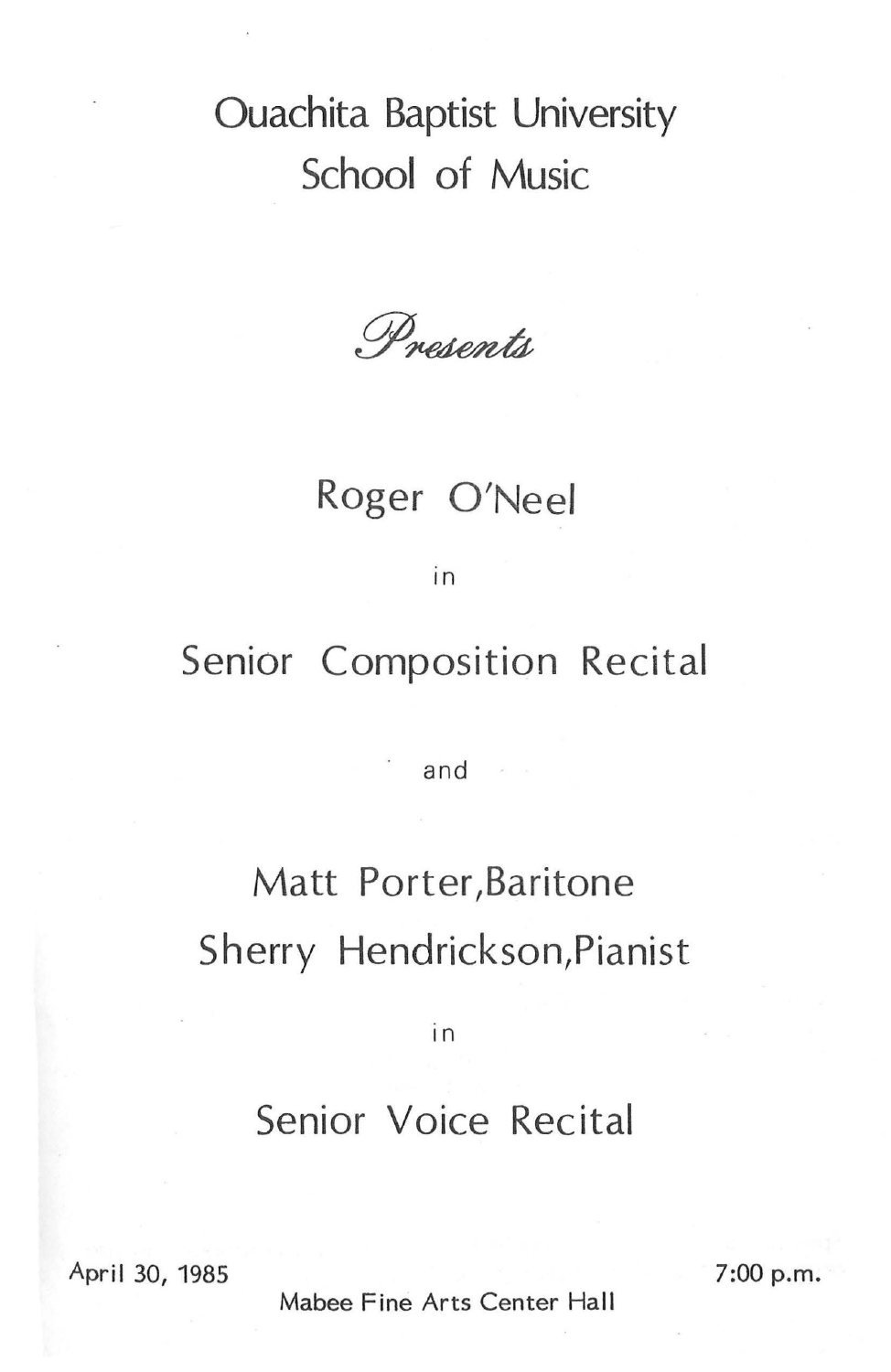# Ouachita Baptist University School of Music

Presents

## Roger O'Neel

in

## Senior Composition Recital

· and

# Matt Porter, Baritone Sherry Hendrickson, Pianist

in

### Senior Voice Recital

April 30, 1985

 $7:00$  p.m.

Mabee Fine Arts Center Hall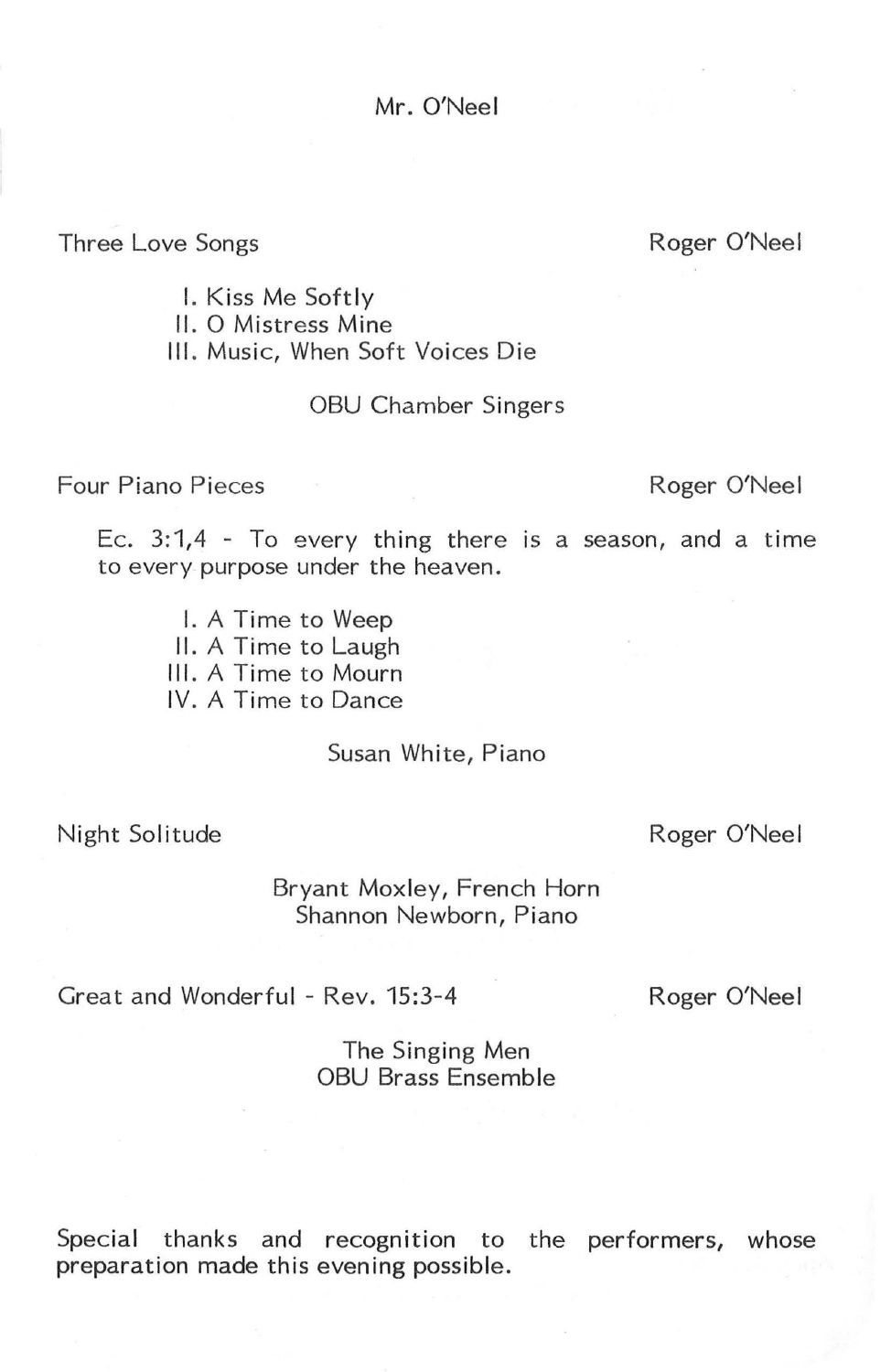Mr. O'Neel

Three Love Songs

Roger O'Neel

I. Kiss Me Softly

II. O Mistress Mine

Ill. Music, When Soft Voices Die

#### OBU Chamber Singers

Four Piano Pieces

Roger O'Neel

Ec.  $3:1,4$  - To every thing there is a season, and a time to every purpose under the heaven.

- I. A Time to Weep
- II. A Time to Laugh
- Ill. A Time to Mourn

IV. A Time to Dance

Susan White, Piano

Night Solitude

Roger O'Neel

Bryant Moxley, French Horn Shannon Newborn, Piano

Great and Wonderful - Rev. 15:3-4

Roger O'Neel

The Singing Men OBU Brass Ensemble

Special thanks and recognition to the performers, whose preparation made this evening possible.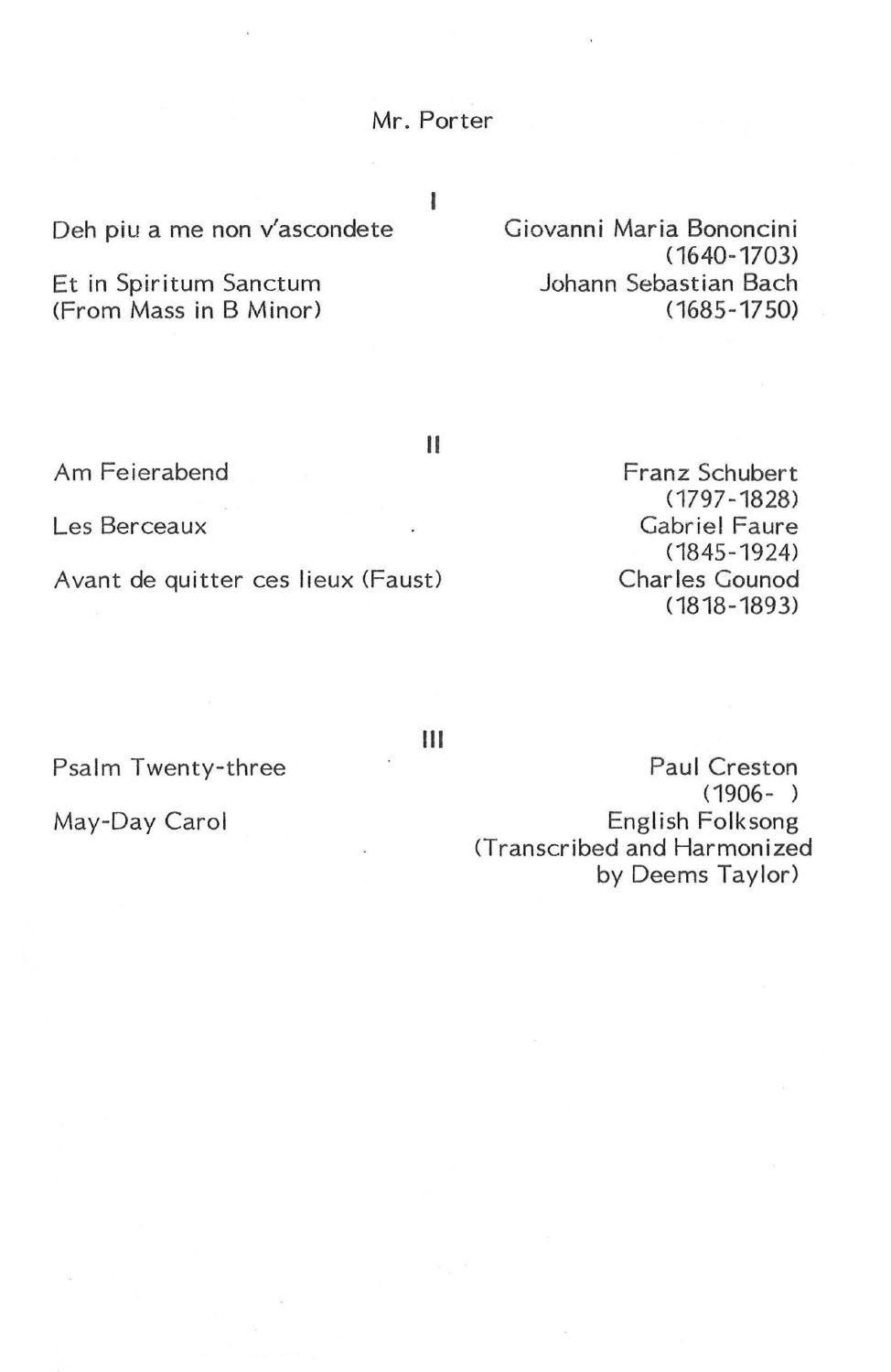Mr. Porter

I

Deh piu a me non v'ascondete

Et in Spiritum Sanctum (From Mass in B Minor)

Giovanni Maria Bononcini ( 1640-1703) Johann Sebastian Bach (1685-1750)

Am Feierabend

Les Berceaux

Avant de quitter ces lieux (Faust)

Psalm Twenty-three

May-Day Carol

Franz Schubert ( 1797 -1828) Gabriel Faure (1845-1924) Charles Gounod ( 1818 - 1893)

Ill

II

Paul Creston (1906- ) English Folksong <Transcribed and Harmonized by Deems Taylor)